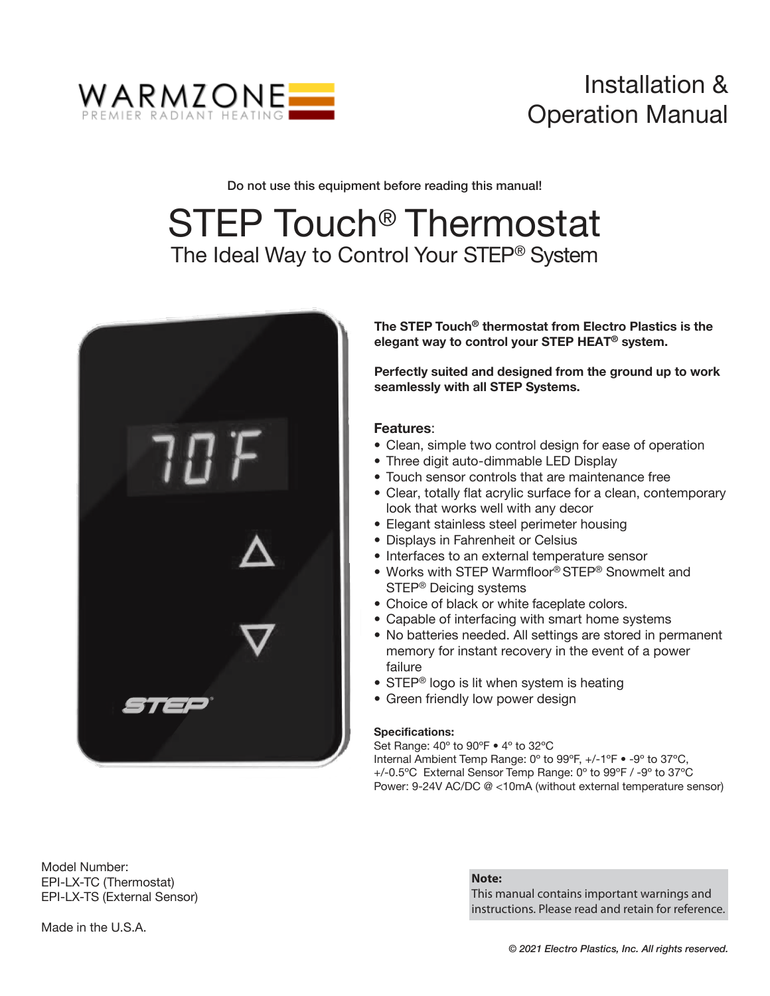

# Installation & Operation Manual

Do not use this equipment before reading this manual!

# STEP Touch<sup>®</sup> Thermostat The Ideal Way to Control Your STEP® System



The STEP Touch® thermostat from Electro Plastics is the elegant way to control your STEP HEAT® system.

Perfectly suited and designed from the ground up to work seamlessly with all STEP Systems.

### Features:

- Clean, simple two control design for ease of operation ï
- Three digit auto-dimmable LED Display ï
- Touch sensor controls that are maintenance free
- Clear, totally flat acrylic surface for a clean, contemporary look that works well with any decor
- Elegant stainless steel perimeter housing
- Displays in Fahrenheit or Celsius
- Interfaces to an external temperature sensor
- Works with STEP Warmfloor® STEP® Snowmelt and STEP® Deicing systems
- Choice of black or white faceplate colors.
- Capable of interfacing with smart home systems
- No batteries needed. All settings are stored in permanent ï memory for instant recovery in the event of a power failure
- STEP<sup>®</sup> logo is lit when system is heating
- Green friendly low power design

### Specifications:

Set Range: 40° to 90°F  $\bullet$  4° to 32°C Internal Ambient Temp Range: 0° to 99°F, +/-1°F • -9° to 37°C, +/-0.5ºC External Sensor Temp Range: 0º to 99ºF / -9º to 37ºC Power: 9-24V AC/DC @ <10mA (without external temperature sensor)

Model Number: EPI-LX-TC (Thermostat) EPI-LX-TS (External Sensor)

#### **Note:**

This manual contains important warnings and instructions. Please read and retain for reference.

Made in the U.S.A.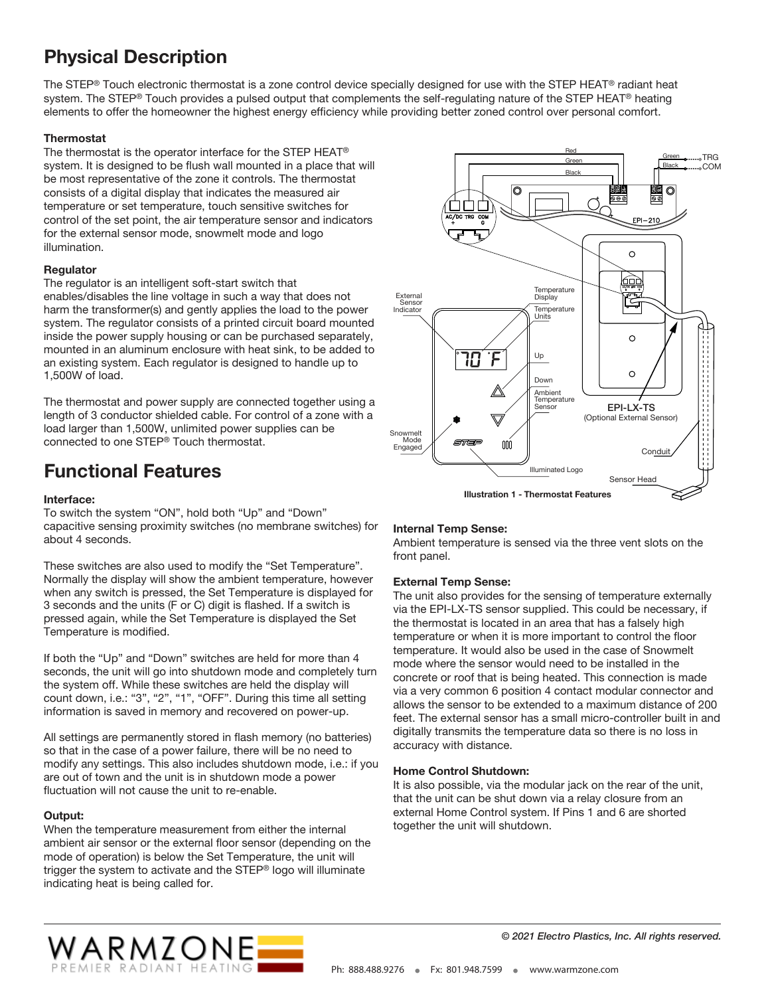# Physical Description

The STEP® Touch electronic thermostat is a zone control device specially designed for use with the STEP HEAT® radiant heat system. The STEP® Touch provides a pulsed output that complements the self-regulating nature of the STEP HEAT® heating elements to offer the homeowner the highest energy efficiency while providing better zoned control over personal comfort.

### **Thermostat**

The thermostat is the operator interface for the STEP HEAT® system. It is designed to be flush wall mounted in a place that will be most representative of the zone it controls. The thermostat consists of a digital display that indicates the measured air temperature or set temperature, touch sensitive switches for control of the set point, the air temperature sensor and indicators for the external sensor mode, snowmelt mode and logo illumination.

### Regulator

The regulator is an intelligent soft-start switch that enables/disables the line voltage in such a way that does not harm the transformer(s) and gently applies the load to the power system. The regulator consists of a printed circuit board mounted inside the power supply housing or can be purchased separately, mounted in an aluminum enclosure with heat sink, to be added to an existing system. Each regulator is designed to handle up to 1,500W of load.

The thermostat and power supply are connected together using a length of 3 conductor shielded cable. For control of a zone with a load larger than 1,500W, unlimited power supplies can be connected to one STEP® Touch thermostat.

### Functional Features

### Interface:

To switch the system "ON", hold both "Up" and "Down" capacitive sensing proximity switches (no membrane switches) for about 4 seconds.

These switches are also used to modify the "Set Temperature". Normally the display will show the ambient temperature, however when any switch is pressed, the Set Temperature is displayed for 3 seconds and the units (F or C) digit is flashed. If a switch is pressed again, while the Set Temperature is displayed the Set Temperature is modified.

If both the "Up" and "Down" switches are held for more than 4 seconds, the unit will go into shutdown mode and completely turn the system off. While these switches are held the display will count down, i.e.: "3", "2", "1", "OFF". During this time all setting information is saved in memory and recovered on power-up.

All settings are permanently stored in flash memory (no batteries) so that in the case of a power failure, there will be no need to modify any settings. This also includes shutdown mode, i.e.: if you are out of town and the unit is in shutdown mode a power fluctuation will not cause the unit to re-enable.

### Output:

When the temperature measurement from either the internal ambient air sensor or the external floor sensor (depending on the mode of operation) is below the Set Temperature, the unit will trigger the system to activate and the STEP® logo will illuminate indicating heat is being called for.



### Internal Temp Sense:

Ambient temperature is sensed via the three vent slots on the front panel.

### External Temp Sense:

The unit also provides for the sensing of temperature externally via the EPI-LX-TS sensor supplied. This could be necessary, if the thermostat is located in an area that has a falsely high temperature or when it is more important to control the floor temperature. It would also be used in the case of Snowmelt mode where the sensor would need to be installed in the concrete or roof that is being heated. This connection is made via a very common 6 position 4 contact modular connector and allows the sensor to be extended to a maximum distance of 200 feet. The external sensor has a small micro-controller built in and digitally transmits the temperature data so there is no loss in accuracy with distance.

#### Home Control Shutdown:

It is also possible, via the modular jack on the rear of the unit, that the unit can be shut down via a relay closure from an external Home Control system. If Pins 1 and 6 are shorted together the unit will shutdown.



© 2021 Electro Plastics, Inc. All rights reserved.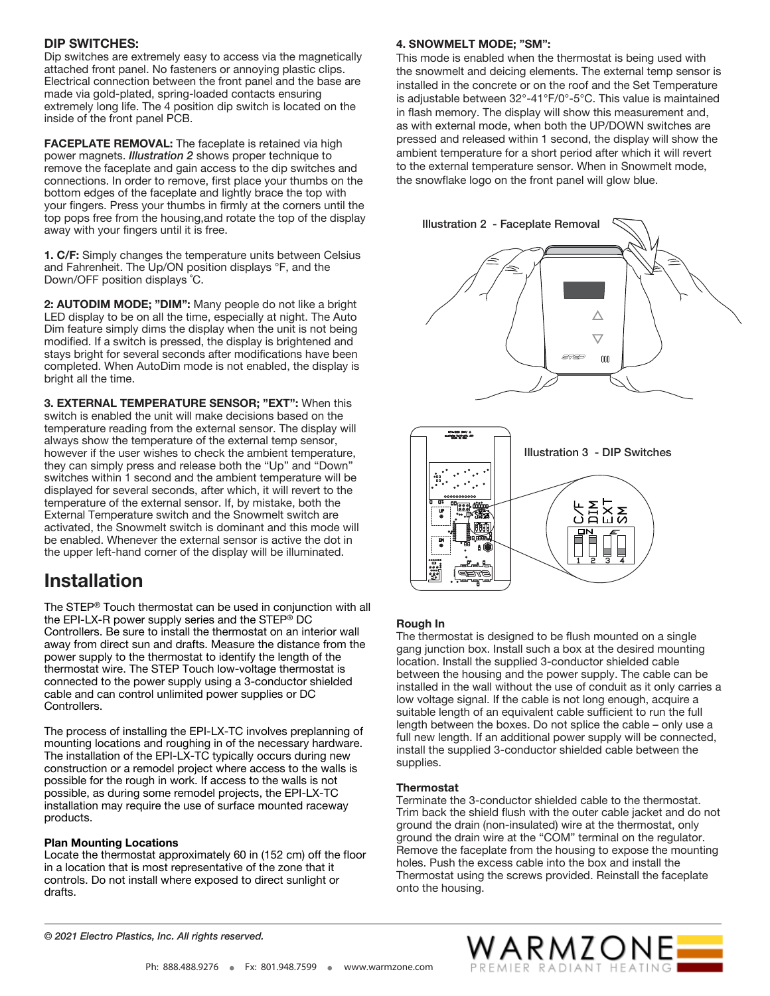### DIP SWITCHES:

Dip switches are extremely easy to access via the magnetically attached front panel. No fasteners or annoying plastic clips. Electrical connection between the front panel and the base are made via gold-plated, spring-loaded contacts ensuring extremely long life. The 4 position dip switch is located on the inside of the front panel PCB.

FACEPLATE REMOVAL: The faceplate is retained via high power magnets. Illustration 2 shows proper technique to remove the faceplate and gain access to the dip switches and connections. In order to remove, first place your thumbs on the bottom edges of the faceplate and lightly brace the top with your fingers. Press your thumbs in firmly at the corners until the top pops free from the housing,and rotate the top of the display away with your fingers until it is free.

1. C/F: Simply changes the temperature units between Celsius and Fahrenheit. The Up/ON position displays °F, and the Down/OFF position displays ˚C.

2: AUTODIM MODE; "DIM": Many people do not like a bright LED display to be on all the time, especially at night. The Auto Dim feature simply dims the display when the unit is not being modified. If a switch is pressed, the display is brightened and stays bright for several seconds after modifications have been completed. When AutoDim mode is not enabled, the display is bright all the time.

3. EXTERNAL TEMPERATURE SENSOR; "EXT": When this switch is enabled the unit will make decisions based on the temperature reading from the external sensor. The display will always show the temperature of the external temp sensor, however if the user wishes to check the ambient temperature, they can simply press and release both the "Up" and "Down" switches within 1 second and the ambient temperature will be displayed for several seconds, after which, it will revert to the temperature of the external sensor. If, by mistake, both the External Temperature switch and the Snowmelt switch are activated, the Snowmelt switch is dominant and this mode will be enabled. Whenever the external sensor is active the dot in the upper left-hand corner of the display will be illuminated.

### Installation

The STEP® Touch thermostat can be used in conjunction with all the EPI-LX-R power supply series and the STEP<sup>®</sup> DC Controllers. Be sure to install the thermostat on an interior wall away from direct sun and drafts. Measure the distance from the power supply to the thermostat to identify the length of the thermostat wire. The STEP Touch low-voltage thermostat is connected to the power supply using a 3-conductor shielded cable and can control unlimited power supplies or DC Controllers.

The process of installing the EPI-LX-TC involves preplanning of mounting locations and roughing in of the necessary hardware. The installation of the EPI-LX-TC typically occurs during new construction or a remodel project where access to the walls is possible for the rough in work. If access to the walls is not possible, as during some remodel projects, the EPI-LX-TC installation may require the use of surface mounted raceway products.

#### Plan Mounting Locations

Locate the thermostat approximately 60 in (152 cm) off the floor in a location that is most representative of the zone that it controls. Do not install where exposed to direct sunlight or drafts.

### 4. SNOWMELT MODE; "SM":

This mode is enabled when the thermostat is being used with the snowmelt and deicing elements. The external temp sensor is installed in the concrete or on the roof and the Set Temperature is adjustable between 32°-41°F/0°-5°C. This value is maintained in flash memory. The display will show this measurement and, as with external mode, when both the UP/DOWN switches are pressed and released within 1 second, the display will show the ambient temperature for a short period after which it will revert to the external temperature sensor. When in Snowmelt mode, the snowflake logo on the front panel will glow blue.





### Rough In

The thermostat is designed to be flush mounted on a single gang junction box. Install such a box at the desired mounting location. Install the supplied 3-conductor shielded cable between the housing and the power supply. The cable can be installed in the wall without the use of conduit as it only carries a low voltage signal. If the cable is not long enough, acquire a suitable length of an equivalent cable sufficient to run the full length between the boxes. Do not splice the cable – only use a full new length. If an additional power supply will be connected, install the supplied 3-conductor shielded cable between the supplies.

#### **Thermostat**

Terminate the 3-conductor shielded cable to the thermostat. Trim back the shield flush with the outer cable jacket and do not ground the drain (non-insulated) wire at the thermostat, only ground the drain wire at the "COM" terminal on the regulator. Remove the faceplate from the housing to expose the mounting holes. Push the excess cable into the box and install the Thermostat using the screws provided. Reinstall the faceplate onto the housing.